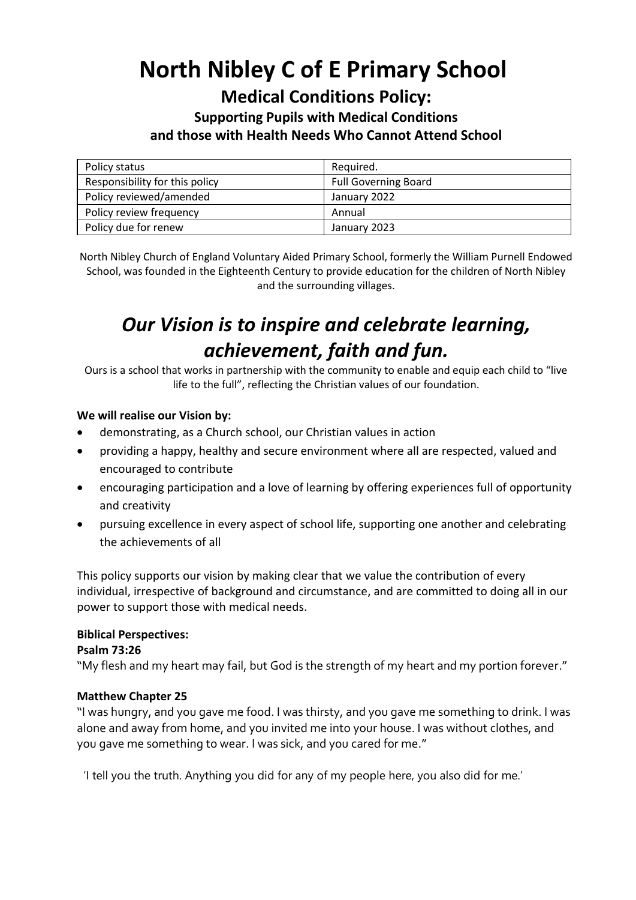# **North Nibley C of E Primary School**

## **Medical Conditions Policy:**

### **Supporting Pupils with Medical Conditions and those with Health Needs Who Cannot Attend School**

| Policy status                  | Required.                   |
|--------------------------------|-----------------------------|
| Responsibility for this policy | <b>Full Governing Board</b> |
| Policy reviewed/amended        | January 2022                |
| Policy review frequency        | Annual                      |
| Policy due for renew           | January 2023                |

North Nibley Church of England Voluntary Aided Primary School, formerly the William Purnell Endowed School, was founded in the Eighteenth Century to provide education for the children of North Nibley and the surrounding villages.

# *Our Vision is to inspire and celebrate learning, achievement, faith and fun.*

Ours is a school that works in partnership with the community to enable and equip each child to "live life to the full", reflecting the Christian values of our foundation.

#### **We will realise our Vision by:**

- demonstrating, as a Church school, our Christian values in action
- providing a happy, healthy and secure environment where all are respected, valued and encouraged to contribute
- encouraging participation and a love of learning by offering experiences full of opportunity and creativity
- pursuing excellence in every aspect of school life, supporting one another and celebrating the achievements of all

This policy supports our vision by making clear that we value the contribution of every individual, irrespective of background and circumstance, and are committed to doing all in our power to support those with medical needs.

#### **Biblical Perspectives:**

#### **Psalm 73:26**

"My flesh and my heart may fail, but God is the strength of my heart and my portion forever."

#### **Matthew Chapter 25**

"I was hungry, and you gave me food. I was thirsty, and you gave me something to drink. I was alone and away from home, and you invited me into your house. I was without clothes, and you gave me something to wear. I was sick, and you cared for me."

'I tell you the truth. Anything you did for any of my people here, you also did for me.'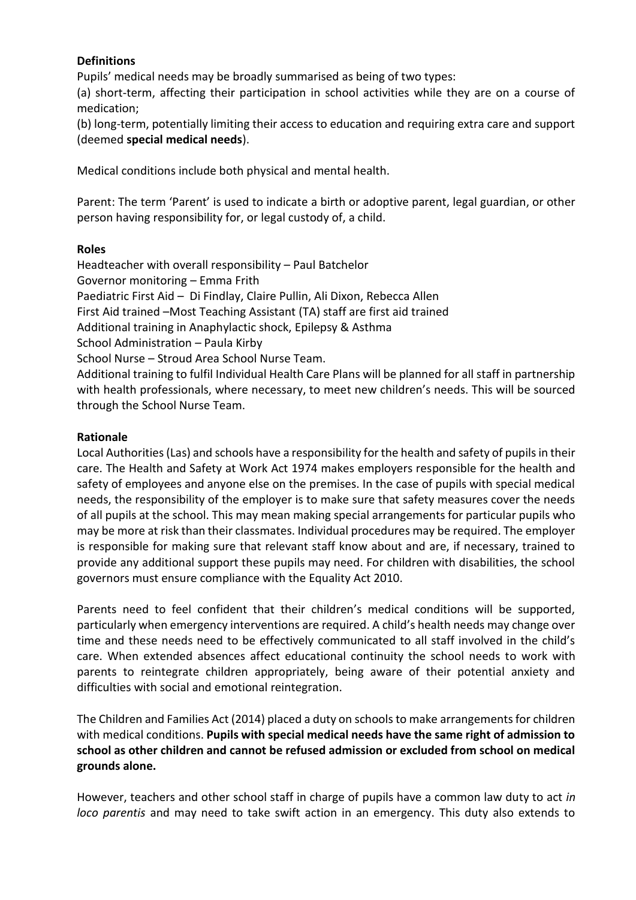#### **Definitions**

Pupils' medical needs may be broadly summarised as being of two types:

(a) short-term, affecting their participation in school activities while they are on a course of medication;

(b) long-term, potentially limiting their access to education and requiring extra care and support (deemed **special medical needs**).

Medical conditions include both physical and mental health.

Parent: The term 'Parent' is used to indicate a birth or adoptive parent, legal guardian, or other person having responsibility for, or legal custody of, a child.

#### **Roles**

Headteacher with overall responsibility – Paul Batchelor Governor monitoring – Emma Frith Paediatric First Aid – Di Findlay, Claire Pullin, Ali Dixon, Rebecca Allen First Aid trained –Most Teaching Assistant (TA) staff are first aid trained Additional training in Anaphylactic shock, Epilepsy & Asthma School Administration – Paula Kirby School Nurse – Stroud Area School Nurse Team. Additional training to fulfil Individual Health Care Plans will be planned for all staff in partnership with health professionals, where necessary, to meet new children's needs. This will be sourced through the School Nurse Team.

#### **Rationale**

Local Authorities (Las) and schools have a responsibility for the health and safety of pupils in their care. The Health and Safety at Work Act 1974 makes employers responsible for the health and safety of employees and anyone else on the premises. In the case of pupils with special medical needs, the responsibility of the employer is to make sure that safety measures cover the needs of all pupils at the school. This may mean making special arrangements for particular pupils who may be more at risk than their classmates. Individual procedures may be required. The employer is responsible for making sure that relevant staff know about and are, if necessary, trained to provide any additional support these pupils may need. For children with disabilities, the school governors must ensure compliance with the Equality Act 2010.

Parents need to feel confident that their children's medical conditions will be supported, particularly when emergency interventions are required. A child's health needs may change over time and these needs need to be effectively communicated to all staff involved in the child's care. When extended absences affect educational continuity the school needs to work with parents to reintegrate children appropriately, being aware of their potential anxiety and difficulties with social and emotional reintegration.

The Children and Families Act (2014) placed a duty on schools to make arrangements for children with medical conditions. **Pupils with special medical needs have the same right of admission to school as other children and cannot be refused admission or excluded from school on medical grounds alone.** 

However, teachers and other school staff in charge of pupils have a common law duty to act *in loco parentis* and may need to take swift action in an emergency. This duty also extends to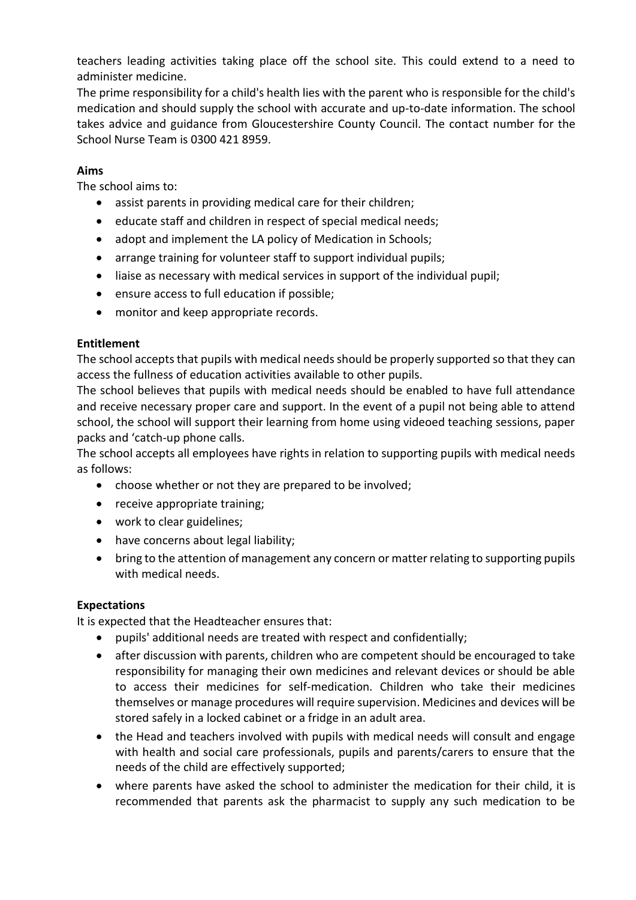teachers leading activities taking place off the school site. This could extend to a need to administer medicine.

The prime responsibility for a child's health lies with the parent who is responsible for the child's medication and should supply the school with accurate and up-to-date information. The school takes advice and guidance from Gloucestershire County Council. The contact number for the School Nurse Team is 0300 421 8959.

#### **Aims**

The school aims to:

- assist parents in providing medical care for their children;
- educate staff and children in respect of special medical needs;
- adopt and implement the LA policy of Medication in Schools;
- arrange training for volunteer staff to support individual pupils;
- liaise as necessary with medical services in support of the individual pupil;
- ensure access to full education if possible;
- monitor and keep appropriate records.

#### **Entitlement**

The school accepts that pupils with medical needs should be properly supported so that they can access the fullness of education activities available to other pupils.

The school believes that pupils with medical needs should be enabled to have full attendance and receive necessary proper care and support. In the event of a pupil not being able to attend school, the school will support their learning from home using videoed teaching sessions, paper packs and 'catch-up phone calls.

The school accepts all employees have rights in relation to supporting pupils with medical needs as follows:

- choose whether or not they are prepared to be involved;
- receive appropriate training:
- work to clear guidelines:
- have concerns about legal liability;
- bring to the attention of management any concern or matter relating to supporting pupils with medical needs.

#### **Expectations**

It is expected that the Headteacher ensures that:

- pupils' additional needs are treated with respect and confidentially;
- after discussion with parents, children who are competent should be encouraged to take responsibility for managing their own medicines and relevant devices or should be able to access their medicines for self-medication. Children who take their medicines themselves or manage procedures will require supervision. Medicines and devices will be stored safely in a locked cabinet or a fridge in an adult area.
- the Head and teachers involved with pupils with medical needs will consult and engage with health and social care professionals, pupils and parents/carers to ensure that the needs of the child are effectively supported;
- where parents have asked the school to administer the medication for their child, it is recommended that parents ask the pharmacist to supply any such medication to be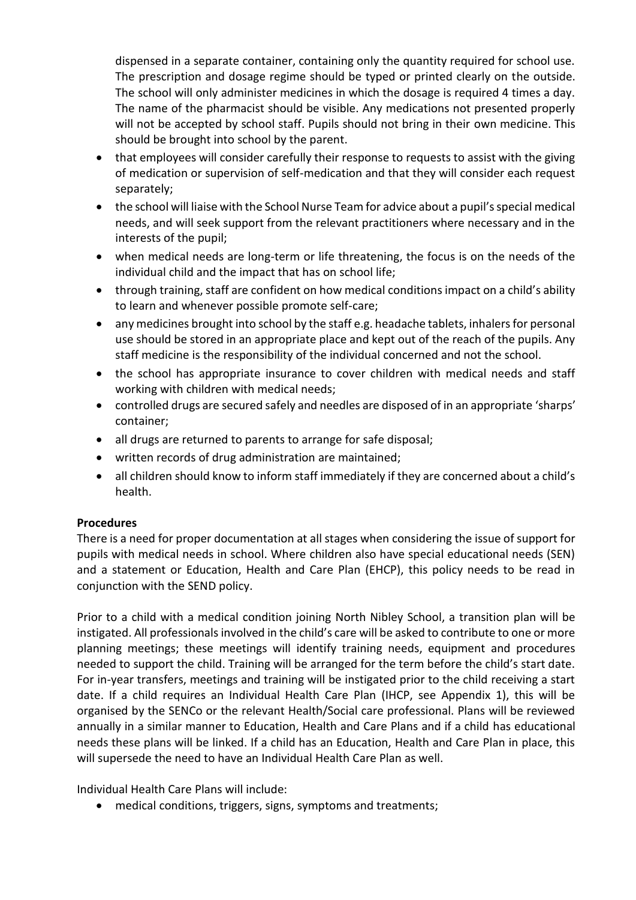dispensed in a separate container, containing only the quantity required for school use. The prescription and dosage regime should be typed or printed clearly on the outside. The school will only administer medicines in which the dosage is required 4 times a day. The name of the pharmacist should be visible. Any medications not presented properly will not be accepted by school staff. Pupils should not bring in their own medicine. This should be brought into school by the parent.

- that employees will consider carefully their response to requests to assist with the giving of medication or supervision of self-medication and that they will consider each request separately;
- the school will liaise with the School Nurse Team for advice about a pupil's special medical needs, and will seek support from the relevant practitioners where necessary and in the interests of the pupil;
- when medical needs are long-term or life threatening, the focus is on the needs of the individual child and the impact that has on school life;
- through training, staff are confident on how medical conditions impact on a child's ability to learn and whenever possible promote self-care;
- any medicines brought into school by the staff e.g. headache tablets, inhalers for personal use should be stored in an appropriate place and kept out of the reach of the pupils. Any staff medicine is the responsibility of the individual concerned and not the school.
- the school has appropriate insurance to cover children with medical needs and staff working with children with medical needs;
- controlled drugs are secured safely and needles are disposed of in an appropriate 'sharps' container;
- all drugs are returned to parents to arrange for safe disposal;
- written records of drug administration are maintained;
- all children should know to inform staff immediately if they are concerned about a child's health.

#### **Procedures**

There is a need for proper documentation at all stages when considering the issue of support for pupils with medical needs in school. Where children also have special educational needs (SEN) and a statement or Education, Health and Care Plan (EHCP), this policy needs to be read in conjunction with the SEND policy.

Prior to a child with a medical condition joining North Nibley School, a transition plan will be instigated. All professionals involved in the child's care will be asked to contribute to one or more planning meetings; these meetings will identify training needs, equipment and procedures needed to support the child. Training will be arranged for the term before the child's start date. For in-year transfers, meetings and training will be instigated prior to the child receiving a start date. If a child requires an Individual Health Care Plan (IHCP, see Appendix 1), this will be organised by the SENCo or the relevant Health/Social care professional. Plans will be reviewed annually in a similar manner to Education, Health and Care Plans and if a child has educational needs these plans will be linked. If a child has an Education, Health and Care Plan in place, this will supersede the need to have an Individual Health Care Plan as well.

Individual Health Care Plans will include:

medical conditions, triggers, signs, symptoms and treatments;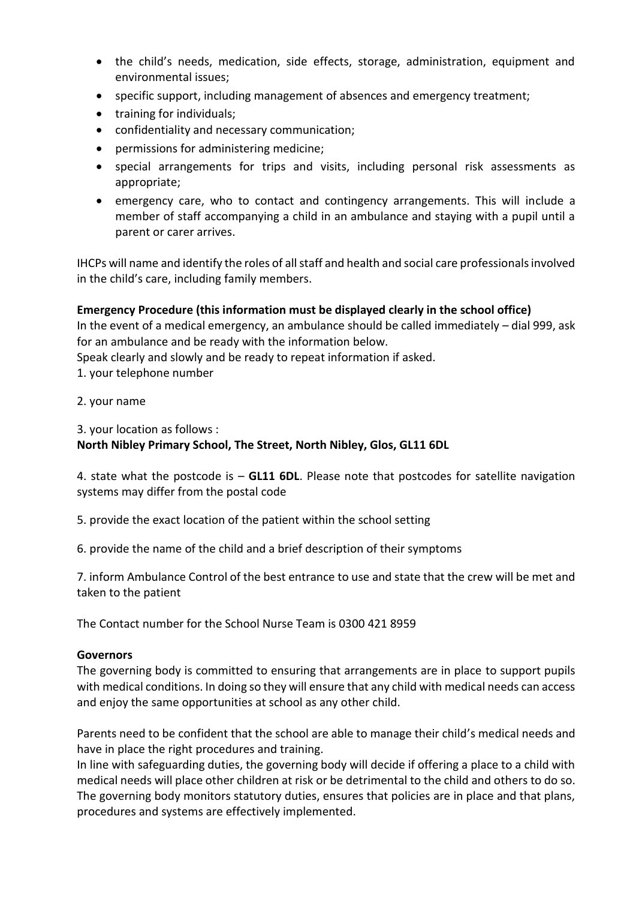- the child's needs, medication, side effects, storage, administration, equipment and environmental issues;
- specific support, including management of absences and emergency treatment;
- training for individuals:
- confidentiality and necessary communication;
- permissions for administering medicine;
- special arrangements for trips and visits, including personal risk assessments as appropriate;
- emergency care, who to contact and contingency arrangements. This will include a member of staff accompanying a child in an ambulance and staying with a pupil until a parent or carer arrives.

IHCPs will name and identify the roles of all staff and health and social care professionals involved in the child's care, including family members.

#### **Emergency Procedure (this information must be displayed clearly in the school office)**

In the event of a medical emergency, an ambulance should be called immediately – dial 999, ask for an ambulance and be ready with the information below.

Speak clearly and slowly and be ready to repeat information if asked.

- 1. your telephone number
- 2. your name

3. your location as follows :

#### **North Nibley Primary School, The Street, North Nibley, Glos, GL11 6DL**

4. state what the postcode is – **GL11 6DL**. Please note that postcodes for satellite navigation systems may differ from the postal code

5. provide the exact location of the patient within the school setting

6. provide the name of the child and a brief description of their symptoms

7. inform Ambulance Control of the best entrance to use and state that the crew will be met and taken to the patient

The Contact number for the School Nurse Team is 0300 421 8959

#### **Governors**

The governing body is committed to ensuring that arrangements are in place to support pupils with medical conditions. In doing so they will ensure that any child with medical needs can access and enjoy the same opportunities at school as any other child.

Parents need to be confident that the school are able to manage their child's medical needs and have in place the right procedures and training.

In line with safeguarding duties, the governing body will decide if offering a place to a child with medical needs will place other children at risk or be detrimental to the child and others to do so. The governing body monitors statutory duties, ensures that policies are in place and that plans, procedures and systems are effectively implemented.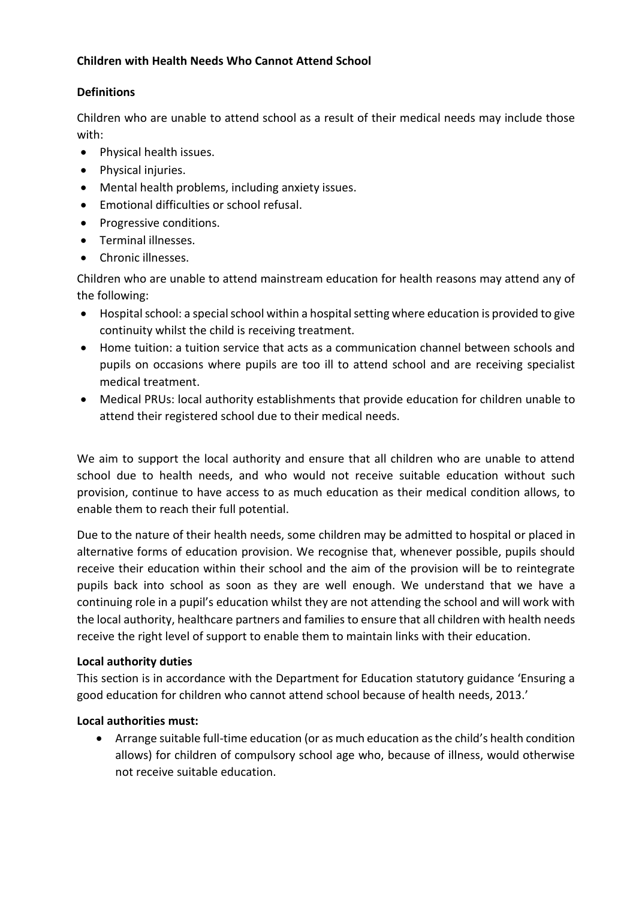#### **Children with Health Needs Who Cannot Attend School**

#### **Definitions**

Children who are unable to attend school as a result of their medical needs may include those with:

- Physical health issues.
- Physical injuries.
- Mental health problems, including anxiety issues.
- Emotional difficulties or school refusal.
- Progressive conditions.
- Terminal illnesses.
- Chronic illnesses.

Children who are unable to attend mainstream education for health reasons may attend any of the following:

- Hospital school: a special school within a hospital setting where education is provided to give continuity whilst the child is receiving treatment.
- Home tuition: a tuition service that acts as a communication channel between schools and pupils on occasions where pupils are too ill to attend school and are receiving specialist medical treatment.
- Medical PRUs: local authority establishments that provide education for children unable to attend their registered school due to their medical needs.

We aim to support the local authority and ensure that all children who are unable to attend school due to health needs, and who would not receive suitable education without such provision, continue to have access to as much education as their medical condition allows, to enable them to reach their full potential.

Due to the nature of their health needs, some children may be admitted to hospital or placed in alternative forms of education provision. We recognise that, whenever possible, pupils should receive their education within their school and the aim of the provision will be to reintegrate pupils back into school as soon as they are well enough. We understand that we have a continuing role in a pupil's education whilst they are not attending the school and will work with the local authority, healthcare partners and families to ensure that all children with health needs receive the right level of support to enable them to maintain links with their education.

#### **Local authority duties**

This section is in accordance with the Department for Education statutory guidance 'Ensuring a good education for children who cannot attend school because of health needs, 2013.'

#### **Local authorities must:**

 Arrange suitable full-time education (or as much education as the child's health condition allows) for children of compulsory school age who, because of illness, would otherwise not receive suitable education.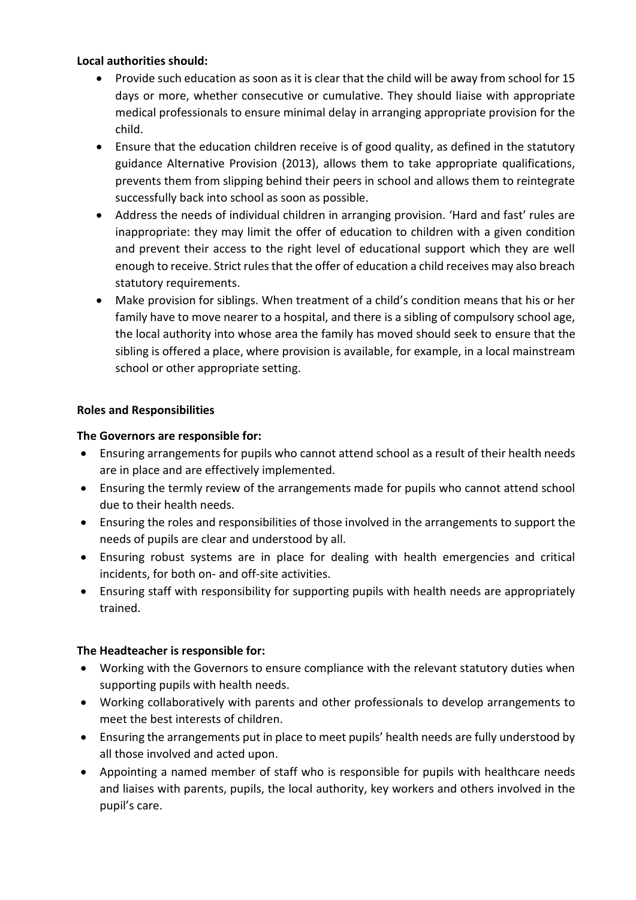#### **Local authorities should:**

- Provide such education as soon as it is clear that the child will be away from school for 15 days or more, whether consecutive or cumulative. They should liaise with appropriate medical professionals to ensure minimal delay in arranging appropriate provision for the child.
- Ensure that the education children receive is of good quality, as defined in the statutory guidance Alternative Provision (2013), allows them to take appropriate qualifications, prevents them from slipping behind their peers in school and allows them to reintegrate successfully back into school as soon as possible.
- Address the needs of individual children in arranging provision. 'Hard and fast' rules are inappropriate: they may limit the offer of education to children with a given condition and prevent their access to the right level of educational support which they are well enough to receive. Strict rules that the offer of education a child receives may also breach statutory requirements.
- Make provision for siblings. When treatment of a child's condition means that his or her family have to move nearer to a hospital, and there is a sibling of compulsory school age, the local authority into whose area the family has moved should seek to ensure that the sibling is offered a place, where provision is available, for example, in a local mainstream school or other appropriate setting.

#### **Roles and Responsibilities**

#### **The Governors are responsible for:**

- Ensuring arrangements for pupils who cannot attend school as a result of their health needs are in place and are effectively implemented.
- Ensuring the termly review of the arrangements made for pupils who cannot attend school due to their health needs.
- Ensuring the roles and responsibilities of those involved in the arrangements to support the needs of pupils are clear and understood by all.
- Ensuring robust systems are in place for dealing with health emergencies and critical incidents, for both on- and off-site activities.
- Ensuring staff with responsibility for supporting pupils with health needs are appropriately trained.

#### **The Headteacher is responsible for:**

- Working with the Governors to ensure compliance with the relevant statutory duties when supporting pupils with health needs.
- Working collaboratively with parents and other professionals to develop arrangements to meet the best interests of children.
- Ensuring the arrangements put in place to meet pupils' health needs are fully understood by all those involved and acted upon.
- Appointing a named member of staff who is responsible for pupils with healthcare needs and liaises with parents, pupils, the local authority, key workers and others involved in the pupil's care.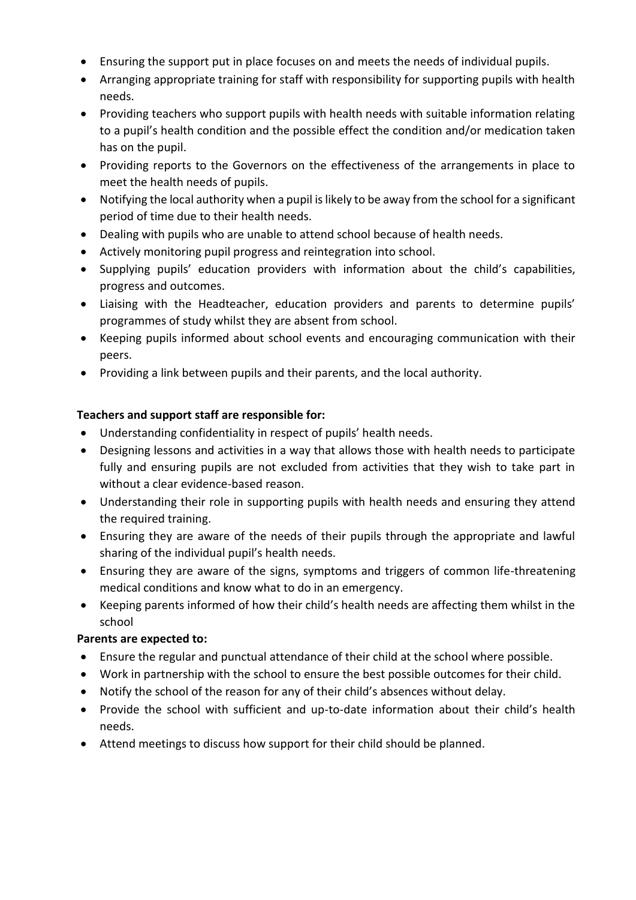- Ensuring the support put in place focuses on and meets the needs of individual pupils.
- Arranging appropriate training for staff with responsibility for supporting pupils with health needs.
- Providing teachers who support pupils with health needs with suitable information relating to a pupil's health condition and the possible effect the condition and/or medication taken has on the pupil.
- Providing reports to the Governors on the effectiveness of the arrangements in place to meet the health needs of pupils.
- Notifying the local authority when a pupil is likely to be away from the school for a significant period of time due to their health needs.
- Dealing with pupils who are unable to attend school because of health needs.
- Actively monitoring pupil progress and reintegration into school.
- Supplying pupils' education providers with information about the child's capabilities, progress and outcomes.
- Liaising with the Headteacher, education providers and parents to determine pupils' programmes of study whilst they are absent from school.
- Keeping pupils informed about school events and encouraging communication with their peers.
- Providing a link between pupils and their parents, and the local authority.

#### **Teachers and support staff are responsible for:**

- Understanding confidentiality in respect of pupils' health needs.
- Designing lessons and activities in a way that allows those with health needs to participate fully and ensuring pupils are not excluded from activities that they wish to take part in without a clear evidence-based reason.
- Understanding their role in supporting pupils with health needs and ensuring they attend the required training.
- Ensuring they are aware of the needs of their pupils through the appropriate and lawful sharing of the individual pupil's health needs.
- Ensuring they are aware of the signs, symptoms and triggers of common life-threatening medical conditions and know what to do in an emergency.
- Keeping parents informed of how their child's health needs are affecting them whilst in the school

#### **Parents are expected to:**

- Ensure the regular and punctual attendance of their child at the school where possible.
- Work in partnership with the school to ensure the best possible outcomes for their child.
- Notify the school of the reason for any of their child's absences without delay.
- Provide the school with sufficient and up-to-date information about their child's health needs.
- Attend meetings to discuss how support for their child should be planned.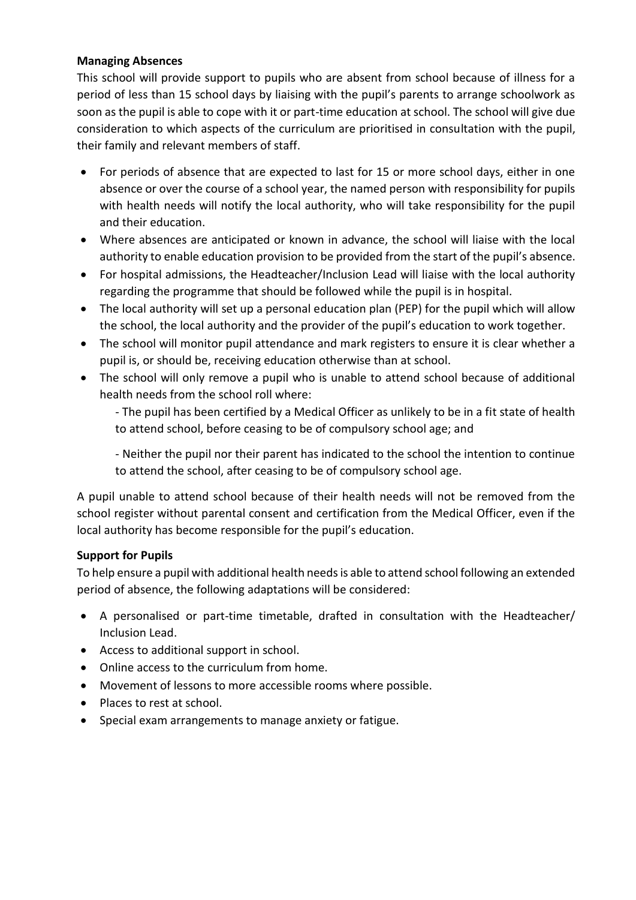#### **Managing Absences**

This school will provide support to pupils who are absent from school because of illness for a period of less than 15 school days by liaising with the pupil's parents to arrange schoolwork as soon as the pupil is able to cope with it or part-time education at school. The school will give due consideration to which aspects of the curriculum are prioritised in consultation with the pupil, their family and relevant members of staff.

- For periods of absence that are expected to last for 15 or more school days, either in one absence or over the course of a school year, the named person with responsibility for pupils with health needs will notify the local authority, who will take responsibility for the pupil and their education.
- Where absences are anticipated or known in advance, the school will liaise with the local authority to enable education provision to be provided from the start of the pupil's absence.
- For hospital admissions, the Headteacher/Inclusion Lead will liaise with the local authority regarding the programme that should be followed while the pupil is in hospital.
- The local authority will set up a personal education plan (PEP) for the pupil which will allow the school, the local authority and the provider of the pupil's education to work together.
- The school will monitor pupil attendance and mark registers to ensure it is clear whether a pupil is, or should be, receiving education otherwise than at school.
- The school will only remove a pupil who is unable to attend school because of additional health needs from the school roll where:

- The pupil has been certified by a Medical Officer as unlikely to be in a fit state of health to attend school, before ceasing to be of compulsory school age; and

- Neither the pupil nor their parent has indicated to the school the intention to continue to attend the school, after ceasing to be of compulsory school age.

A pupil unable to attend school because of their health needs will not be removed from the school register without parental consent and certification from the Medical Officer, even if the local authority has become responsible for the pupil's education.

#### **Support for Pupils**

To help ensure a pupil with additional health needs is able to attend school following an extended period of absence, the following adaptations will be considered:

- A personalised or part-time timetable, drafted in consultation with the Headteacher/ Inclusion Lead.
- Access to additional support in school.
- Online access to the curriculum from home.
- Movement of lessons to more accessible rooms where possible.
- Places to rest at school.
- Special exam arrangements to manage anxiety or fatigue.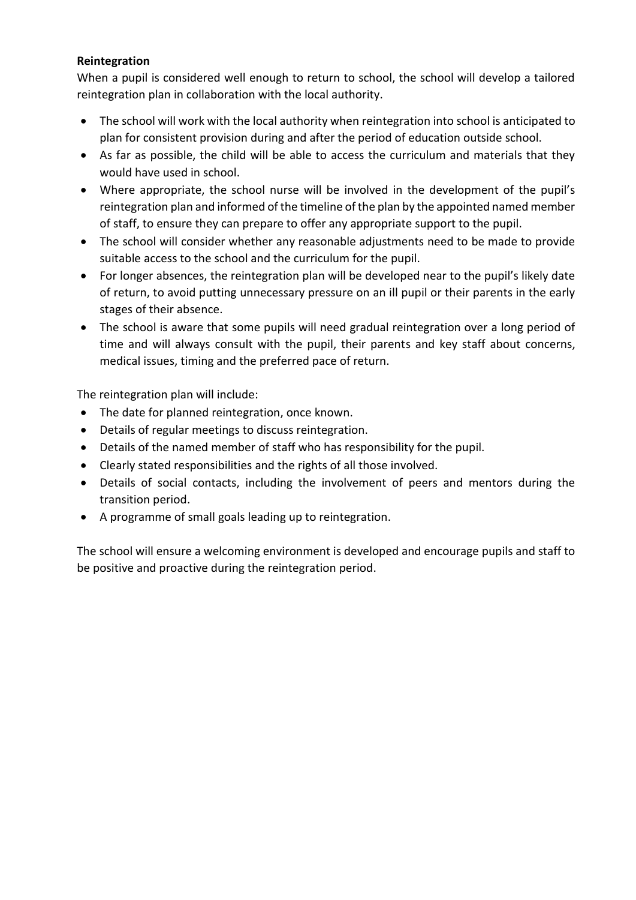#### **Reintegration**

When a pupil is considered well enough to return to school, the school will develop a tailored reintegration plan in collaboration with the local authority.

- The school will work with the local authority when reintegration into school is anticipated to plan for consistent provision during and after the period of education outside school.
- As far as possible, the child will be able to access the curriculum and materials that they would have used in school.
- Where appropriate, the school nurse will be involved in the development of the pupil's reintegration plan and informed of the timeline of the plan by the appointed named member of staff, to ensure they can prepare to offer any appropriate support to the pupil.
- The school will consider whether any reasonable adjustments need to be made to provide suitable access to the school and the curriculum for the pupil.
- For longer absences, the reintegration plan will be developed near to the pupil's likely date of return, to avoid putting unnecessary pressure on an ill pupil or their parents in the early stages of their absence.
- The school is aware that some pupils will need gradual reintegration over a long period of time and will always consult with the pupil, their parents and key staff about concerns, medical issues, timing and the preferred pace of return.

The reintegration plan will include:

- The date for planned reintegration, once known.
- Details of regular meetings to discuss reintegration.
- Details of the named member of staff who has responsibility for the pupil.
- Clearly stated responsibilities and the rights of all those involved.
- Details of social contacts, including the involvement of peers and mentors during the transition period.
- A programme of small goals leading up to reintegration.

The school will ensure a welcoming environment is developed and encourage pupils and staff to be positive and proactive during the reintegration period.